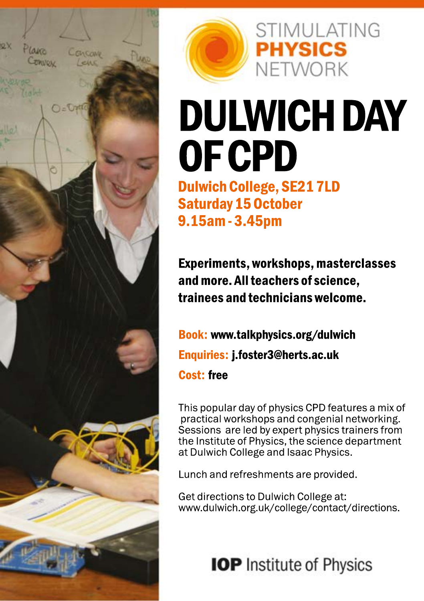



# DULWICH DAY OFCPD

**STIMULATING** 

**PHYSICS** 

NFTWORK

Dulwich College, SE217LD Saturday15October 9.15am-3.45pm

Experiments,workshops,masterclasses and more. All teachers of science, traineesandtechnicianswelcome.

Book[:www.talkphysics.org/dulwich](http://www.talkphysics.org/dulwich) Enquiries: j.foster3@herts.ac.uk **Cost:** free

This popular day of physics CPD features a mix of practical workshops and congenial networking. Sessions are led by expert physics trainers from the Institute of Physics, the science department at Dulwich College and Isaac Physics.

Lunch and refreshments are provided.

Get directions to Dulwich College at: [www.dulwich.org.uk/college/contact/directions.](http://www.dulwich.org.uk/college/contact/directions)

**IOP** Institute of Physics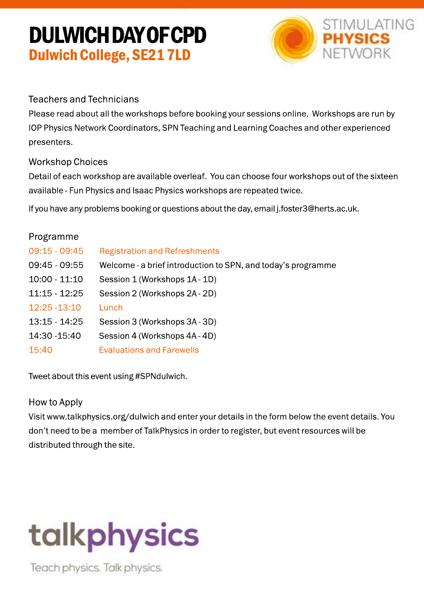### DULWICHDAYOFCPD Dulwich College, SE217LD



#### TeachersandTechnicians

Please read about all the workshops before booking your sessions online. Workshops are run by IOP Physics Network Coordinators, SPN Teaching and Learning Coaches and other experienced presenters.

#### **Workshop Choices**

Detail of each workshop are available overleaf. You can choose four workshops out of the sixteen available - Fun Physics and Isaac Physics workshops are repeated twice.

If you have any problems booking or questions about the day, email j.foster3@herts.ac.uk.

| Programme     |                                                              |
|---------------|--------------------------------------------------------------|
| 09:15 - 09:45 | <b>Registration and Refreshments</b>                         |
| 09:45 - 09:55 | Welcome - a brief introduction to SPN, and today's programme |
| 10:00 - 11:10 | Session 1 (Workshops 1A - 1D)                                |
| 11:15 - 12:25 | Session 2 (Workshops 2A-2D)                                  |
| 12:25 -13:10  | Lunch                                                        |
| 13:15 - 14:25 | Session 3 (Workshops 3A - 3D)                                |
| 14:30 -15:40  | Session 4 (Workshops 4A - 4D)                                |
| 15:40         | <b>Evaluations and Farewells</b>                             |
|               |                                                              |

Tweet about this event using #SPNdulwich.

#### HowtoApply

Vis[itwww.talkphysics.org/dulwichand](http://www.talkphysics.org/dulwich)enteryourdetailsintheformbelowtheeventdetails.You don't need to be a member of TalkPhysics in order to register, but event resources will be distributed through the site.

## talkphysics

Teach physics. Talk physics.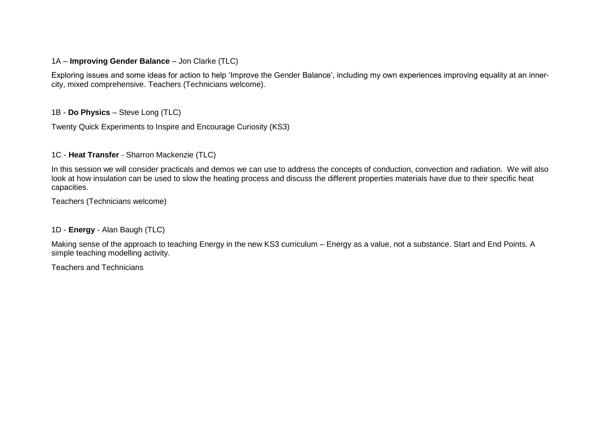#### 1A – **Improving Gender Balance** – Jon Clarke (TLC)

Exploring issues and some ideas for action to help 'Improve the Gender Balance', including my own experiences improving equality at an innercity, mixed comprehensive. Teachers (Technicians welcome).

#### 1B - **Do Physics** – Steve Long (TLC)

Twenty Quick Experiments to Inspire and Encourage Curiosity (KS3)

#### 1C - **Heat Transfer** - Sharron Mackenzie (TLC)

In this session we will consider practicals and demos we can use to address the concepts of conduction, convection and radiation. We will also look at how insulation can be used to slow the heating process and discuss the different properties materials have due to their specific heat capacities.

Teachers (Technicians welcome)

#### 1D - **Energy** - Alan Baugh (TLC)

Making sense of the approach to teaching Energy in the new KS3 curriculum – Energy as a value, not a substance. Start and End Points. A simple teaching modelling activity.

Teachers and Technicians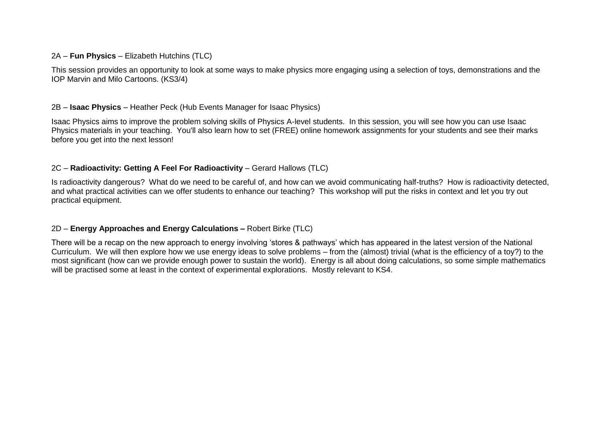#### 2A – **Fun Physics** – Elizabeth Hutchins (TLC)

This session provides an opportunity to look at some ways to make physics more engaging using a selection of toys, demonstrations and the IOP Marvin and Milo Cartoons. (KS3/4)

#### 2B – **Isaac Physics** – Heather Peck (Hub Events Manager for Isaac Physics)

Isaac Physics aims to improve the problem solving skills of Physics A-level students. In this session, you will see how you can use Isaac Physics materials in your teaching. You'll also learn how to set (FREE) online homework assignments for your students and see their marks before you get into the next lesson!

#### 2C – **Radioactivity: Getting A Feel For Radioactivity** – Gerard Hallows (TLC)

Is radioactivity dangerous? What do we need to be careful of, and how can we avoid communicating half-truths? How is radioactivity detected, and what practical activities can we offer students to enhance our teaching? This workshop will put the risks in context and let you try out practical equipment.

#### 2D – **Energy Approaches and Energy Calculations –** Robert Birke (TLC)

There will be a recap on the new approach to energy involving 'stores & pathways' which has appeared in the latest version of the National Curriculum. We will then explore how we use energy ideas to solve problems – from the (almost) trivial (what is the efficiency of a toy?) to the most significant (how can we provide enough power to sustain the world). Energy is all about doing calculations, so some simple mathematics will be practised some at least in the context of experimental explorations. Mostly relevant to KS4.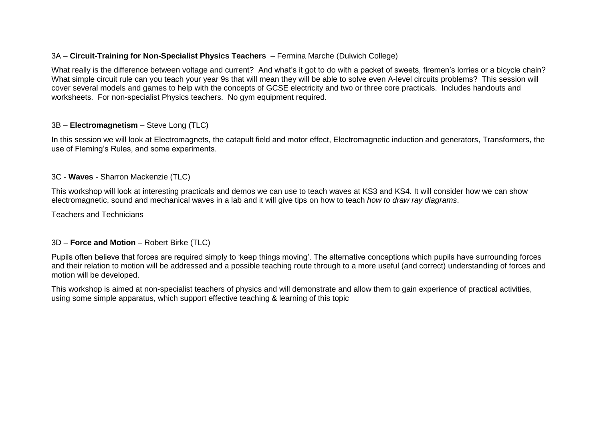#### 3A – **Circuit-Training for Non-Specialist Physics Teachers** – Fermina Marche (Dulwich College)

What really is the difference between voltage and current? And what's it got to do with a packet of sweets, firemen's lorries or a bicycle chain? What simple circuit rule can you teach your year 9s that will mean they will be able to solve even A-level circuits problems? This session will cover several models and games to help with the concepts of GCSE electricity and two or three core practicals. Includes handouts and worksheets. For non-specialist Physics teachers. No gym equipment required.

#### 3B – **Electromagnetism** – Steve Long (TLC)

In this session we will look at Electromagnets, the catapult field and motor effect, Electromagnetic induction and generators, Transformers, the use of Fleming's Rules, and some experiments.

#### 3C - **Waves** - Sharron Mackenzie (TLC)

This workshop will look at interesting practicals and demos we can use to teach waves at KS3 and KS4. It will consider how we can show electromagnetic, sound and mechanical waves in a lab and it will give tips on how to teach *how to draw ray diagrams*.

Teachers and Technicians

#### 3D – **Force and Motion** – Robert Birke (TLC)

Pupils often believe that forces are required simply to 'keep things moving'. The alternative conceptions which pupils have surrounding forces and their relation to motion will be addressed and a possible teaching route through to a more useful (and correct) understanding of forces and motion will be developed.

This workshop is aimed at non-specialist teachers of physics and will demonstrate and allow them to gain experience of practical activities, using some simple apparatus, which support effective teaching & learning of this topic